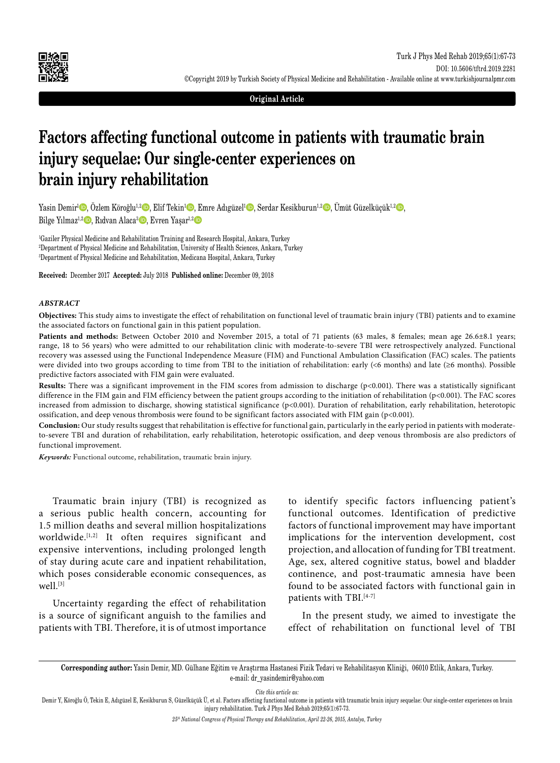

**Original Article**

# **Factors affecting functional outcome in patients with traumatic brain injury sequelae: Our single-center experiences on brain injury rehabilitation**

Yasin Demir<sup>1</sup>©, Özlem Köroğlu<sup>1,2</sup>©, Elif Tekin<sup>1</sup>©, Emre Adıgüzel<sup>1</sup>©, Serdar Kesikburun<sup>1,2</sup>©, Ümüt Güzelküçük<sup>1,2</sup>©, Bilge Yılmaz<sup>ı, 2</sup><sub>,</sub> Rıdvan Alaca<sup>3</sup>, Evren Yaşar<sup>ı, 2</sup>

1 Gaziler Physical Medicine and Rehabilitation Training and Research Hospital, Ankara, Turkey 2 Department of Physical Medicine and Rehabilitation, University of Health Sciences, Ankara, Turkey 3 Department of Physical Medicine and Rehabilitation, Medicana Hospital, Ankara, Turkey

**Received:** December 2017 **Accepted:** July 2018 **Published online:** December 09, 2018

### *ABSTRACT*

**Objectives:** This study aims to investigate the effect of rehabilitation on functional level of traumatic brain injury (TBI) patients and to examine the associated factors on functional gain in this patient population.

Patients and methods: Between October 2010 and November 2015, a total of 71 patients (63 males, 8 females; mean age 26.6±8.1 years; range, 18 to 56 years) who were admitted to our rehabilitation clinic with moderate-to-severe TBI were retrospectively analyzed. Functional recovery was assessed using the Functional Independence Measure (FIM) and Functional Ambulation Classification (FAC) scales. The patients were divided into two groups according to time from TBI to the initiation of rehabilitation: early (<6 months) and late (≥6 months). Possible predictive factors associated with FIM gain were evaluated.

Results: There was a significant improvement in the FIM scores from admission to discharge (p<0.001). There was a statistically significant difference in the FIM gain and FIM efficiency between the patient groups according to the initiation of rehabilitation (p<0.001). The FAC scores increased from admission to discharge, showing statistical significance (p<0.001). Duration of rehabilitation, early rehabilitation, heterotopic ossification, and deep venous thrombosis were found to be significant factors associated with FIM gain (p<0.001).

**Conclusion:** Our study results suggest that rehabilitation is effective for functional gain, particularly in the early period in patients with moderateto-severe TBI and duration of rehabilitation, early rehabilitation, heterotopic ossification, and deep venous thrombosis are also predictors of functional improvement.

*Keywords:* Functional outcome, rehabilitation, traumatic brain injury.

Traumatic brain injury (TBI) is recognized as a serious public health concern, accounting for 1.5 million deaths and several million hospitalizations worldwide.<sup>[1,2]</sup> It often requires significant and expensive interventions, including prolonged length of stay during acute care and inpatient rehabilitation, which poses considerable economic consequences, as well.[3]

Uncertainty regarding the effect of rehabilitation is a source of significant anguish to the families and patients with TBI. Therefore, it is of utmost importance to identify specific factors influencing patient's functional outcomes. Identification of predictive factors of functional improvement may have important implications for the intervention development, cost projection, and allocation of funding for TBI treatment. Age, sex, altered cognitive status, bowel and bladder continence, and post-traumatic amnesia have been found to be associated factors with functional gain in patients with TBI.<sup>[4-7]</sup>

In the present study, we aimed to investigate the effect of rehabilitation on functional level of TBI

**Corresponding author:** Yasin Demir, MD. Gülhane Eğitim ve Araştırma Hastanesi Fizik Tedavi ve Rehabilitasyon Kliniği, 06010 Etlik, Ankara, Turkey. e-mail: dr\_yasindemir@yahoo.com

*Cite this article as:*

Demir Y, Köroğlu Ö, Tekin E, Adıgüzel E, Kesikburun S, Güzelküçük Ü, et al. Factors affecting functional outcome in patients with traumatic brain injury sequelae: Our single-center experiences on brain injury rehabilitation. Turk J Phys Med Rehab 2019;65(1):67-73.

*25th National Congress of Physical Therapy and Rehabilitation, April 22-26, 2015, Antalya, Turkey*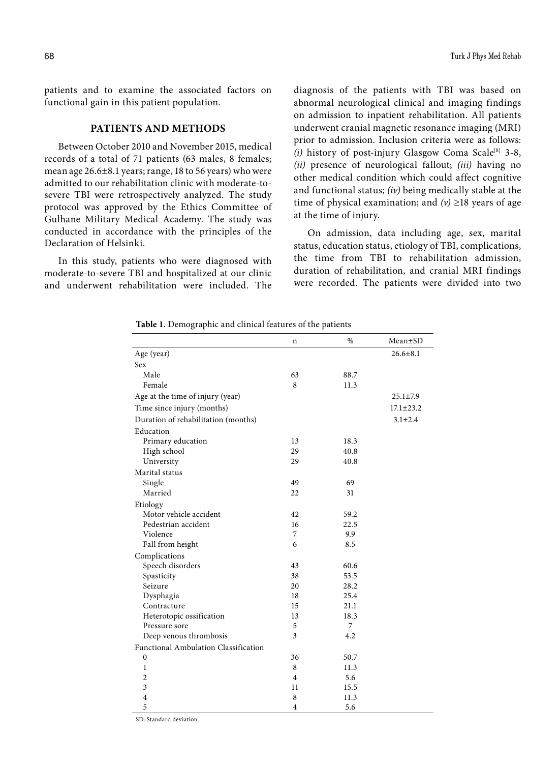patients and to examine the associated factors on functional gain in this patient population.

# **PATIENTS AND METHODS**

Between October 2010 and November 2015, medical records of a total of 71 patients (63 males, 8 females; mean age 26.6±8.1 years; range, 18 to 56 years) who were admitted to our rehabilitation clinic with moderate-tosevere TBI were retrospectively analyzed. The study protocol was approved by the Ethics Committee of Gulhane Military Medical Academy. The study was conducted in accordance with the principles of the Declaration of Helsinki.

In this study, patients who were diagnosed with moderate-to-severe TBI and hospitalized at our clinic and underwent rehabilitation were included. The diagnosis of the patients with TBI was based on abnormal neurological clinical and imaging findings on admission to inpatient rehabilitation. All patients underwent cranial magnetic resonance imaging (MRI) prior to admission. Inclusion criteria were as follows:  $(i)$  history of post-injury Glasgow Coma Scale<sup>[8]</sup> 3-8, *(ii)* presence of neurological fallout; *(iii)* having no other medical condition which could affect cognitive and functional status; *(iv)* being medically stable at the time of physical examination; and  $(v) \ge 18$  years of age at the time of injury.

On admission, data including age, sex, marital status, education status, etiology of TBI, complications, the time from TBI to rehabilitation admission, duration of rehabilitation, and cranial MRI findings were recorded. The patients were divided into two

#### **Table 1.** Demographic and clinical features of the patients

|                                             | n              | %    | Mean±SD         |
|---------------------------------------------|----------------|------|-----------------|
| Age (year)                                  |                |      | $26.6 \pm 8.1$  |
| Sex                                         |                |      |                 |
| Male                                        | 63             | 88.7 |                 |
| Female                                      | 8              | 11.3 |                 |
| Age at the time of injury (year)            |                |      | $25.1 \pm 7.9$  |
| Time since injury (months)                  |                |      | $17.1 \pm 23.2$ |
| Duration of rehabilitation (months)         |                |      | $3.1 \pm 2.4$   |
| Education                                   |                |      |                 |
| Primary education                           | 13             | 18.3 |                 |
| High school                                 | 29             | 40.8 |                 |
| University                                  | 29             | 40.8 |                 |
| Marital status                              |                |      |                 |
| Single                                      | 49             | 69   |                 |
| Married                                     | 22             | 31   |                 |
| Etiology                                    |                |      |                 |
| Motor vehicle accident                      | 42             | 59.2 |                 |
| Pedestrian accident                         | 16             | 22.5 |                 |
| Violence                                    | 7              | 9.9  |                 |
| Fall from height                            | 6              | 8.5  |                 |
| Complications                               |                |      |                 |
| Speech disorders                            | 43             | 60.6 |                 |
| Spasticity                                  | 38             | 53.5 |                 |
| Seizure                                     | 20             | 28.2 |                 |
| Dysphagia                                   | 18             | 25.4 |                 |
| Contracture                                 | 15             | 21.1 |                 |
| Heterotopic ossification                    | 13             | 18.3 |                 |
| Pressure sore                               | 5              | 7    |                 |
| Deep venous thrombosis                      | 3              | 4.2  |                 |
| <b>Functional Ambulation Classification</b> |                |      |                 |
| $\boldsymbol{0}$                            | 36             | 50.7 |                 |
| $\mathbf{1}$                                | 8              | 11.3 |                 |
| $\overline{2}$                              | 4              | 5.6  |                 |
| 3                                           | 11             | 15.5 |                 |
| $\overline{4}$                              | 8              | 11.3 |                 |
| 5                                           | $\overline{4}$ | 5.6  |                 |

SD: Standard deviation.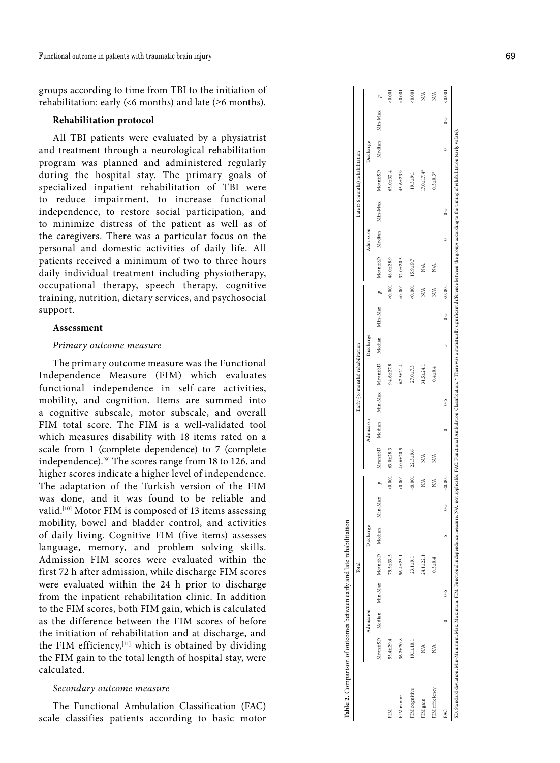groups according to time from TBI to the initiation of rehabilitation: early  $(56 \text{ months})$  and late  $(26 \text{ months})$ .

# **Rehabilitation protocol**

All TBI patients were evaluated by a physiatrist and treatment through a neurological rehabilitation program was planned and administered regularly during the hospital stay. The primary goals of specialized inpatient rehabilitation of TBI were to reduce impairment, to increase functional independence, to restore social participation, and to minimize distress of the patient as well as of the caregivers. There was a particular focus on the personal and domestic activities of daily life. All patients received a minimum of two to three hours daily individual treatment including physiotherapy, occupational therapy, speech therapy, cognitive training, nutrition, dietary services, and psychosocial support.

#### **Assessment**

## *Primary outcome measure*

The primary outcome measure was the Functional Independence Measure (FIM) which evaluates functional independence in self-care activities, mobility, and cognition. Items are summed into a cognitive subscale, motor subscale, and overall FIM total score. The FIM is a well-validated tool which measures disability with 18 items rated on a scale from 1 (complete dependence) to 7 (complete independence).[9] The scores range from 18 to 126, and higher scores indicate a higher level of independence. The adaptation of the Turkish version of the FIM was done, and it was found to be reliable and valid.[10] Motor FIM is composed of 13 items assessing mobility, bowel and bladder control, and activities of daily living. Cognitive FIM (five items) assesses language, memory, and problem solving skills. Admission FIM scores were evaluated within the first 72 h after admission, while discharge FIM scores were evaluated within the 24 h prior to discharge from the inpatient rehabilitation clinic. In addition to the FIM scores, both FIM gain, which is calculated as the difference between the FIM scores of before the initiation of rehabilitation and at discharge, and the FIM efficiency,<sup>[11]</sup> which is obtained by dividing the FIM gain to the total length of hospital stay, were calculated.

## *Secondary outcome measure*

The Functional Ambulation Classification (FAC) scale classifies patients according to basic motor

|             | Mean <sub>±SD</sub> | Median | Min-Max Mean±SD | Mediar | Min-Max |          | Mean <sub>tSD</sub> | Median | Min-Max | Mean±SD        | Median | Min-Max | $\overline{a}$ | Mean±SD       | Median | Min-Max | Mean±SD       | Median | Min-Max |           |
|-------------|---------------------|--------|-----------------|--------|---------|----------|---------------------|--------|---------|----------------|--------|---------|----------------|---------------|--------|---------|---------------|--------|---------|-----------|
|             | 55.4±29.4           |        | 79.5±33.5       |        |         | $-0.001$ | $63.0 + 28.3$       |        |         | $4.6 \pm 27.8$ |        |         | 5001           | $48.0 + 28.9$ |        |         | $65.0 + 32.4$ |        |         | 5<br>0.00 |
| IM motor    | $36.2 \pm 20.8$     |        | 56.4±25.1       |        |         | 0.001    | $0.6 + 20.5$        |        |         | $7.5 + 21.4$   |        |         | : 0.001        | $82.0 + 20.1$ |        |         | $5.6 + 23.9$  |        |         | 0.00      |
| IM cognitiv | $19.1 \pm 10.1$     |        | $23.1 \pm 9.1$  |        |         | 0.001    | $2.3 + 9.6$         |        |         | $77.0 + 7.3$   |        |         | 0.001          | $15.9 + 9.7$  |        |         | $9.3 + 9.1$   |        |         |           |

 $: 0.001$  $:0.001$  $0.001$  $\frac{4}{3}$  $\frac{1}{2}$  $0.001$ 

 $0-5$ 

 $\overline{a}$ 

 $0.3 \pm 0.3$ <sup>\*</sup>  $(7.0 \pm 17.4^*$ 

according to the timing of rehabilita

the groups

 $0-5$ 

 $\overline{a}$ 

 $0.001$  $\tilde{\Sigma}$  $\lessapprox$ 

 $0-5$ 

v

 $N/A$  $\tilde{z}$ 

Min-Max

**Vischarge** 

Admission

ate (>6 months) rehabilitation

FIM gain N/A 24.1±22.1 N/A N/A 31.5±24.1 N/A N/A 17.0±17.4\* N/A FIM efficiency N/A 0.3±0.4 N/A N/A 0.4±0.4 N/A N/A 0.3±0.3\* N/A FAC 0 0-5 5 0-5 <0.001 0 0-5 5 0-5 <0.001 0 0-5 0 0-5 <0.001

 $\lessapprox$  $\tilde{z}$ 

 $24.1 + 22.1$  $0.3 \pm 0.4$ 

 $\frac{3}{2}$   $\frac{3}{2}$  $0.001$ 

 $31.5 \pm 24.1$  $0.4 + 0.4$  SD: Standard deviation; Min-Minimum; Max: Muximum; FIM: Functional independence measure; NA: not applicable; FAC: Functional Ambulation Classification; \*There was a statistically significant difference between the groups a

 $\overline{a}$ 

 $0 - 5$ 

v

 $0 - 5$ ximum; FIM:

 $\overline{a}$ 

NA<br>NA

FIM efficiency FIM gain

FAC

Functional independence

SD: Standard deviation; Min-Minimum; Max: Ma:

measure; N/A: not applicable; FAC: Functional Ambulation

Classifi  $0 - 5$ 

was a

Total Early (<6 months) rehabilitation Late (>6 months) rehabilitation

Early (<6 months) rehabilitation

Admission Discharge Admission Discharge Admission Discharge

Admission

Discharge

Manission

**Total** 

Discharg

**Table 2.** Comparison of outcomes between early and late rehabilitation

Table 2. Comparison of outcomes between early and late rehabilitation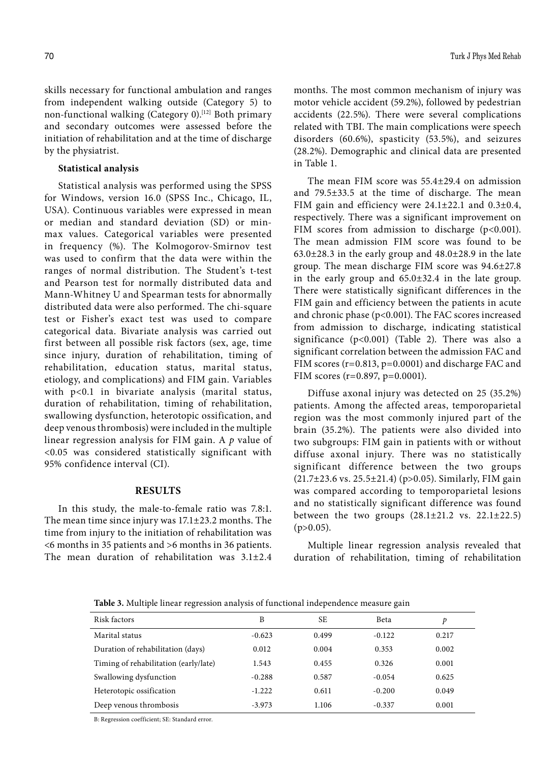skills necessary for functional ambulation and ranges from independent walking outside (Category 5) to non-functional walking (Category 0).<sup>[12]</sup> Both primary and secondary outcomes were assessed before the initiation of rehabilitation and at the time of discharge by the physiatrist.

# **Statistical analysis**

Statistical analysis was performed using the SPSS for Windows, version 16.0 (SPSS Inc., Chicago, IL, USA). Continuous variables were expressed in mean or median and standard deviation (SD) or minmax values. Categorical variables were presented in frequency (%). The Kolmogorov-Smirnov test was used to confirm that the data were within the ranges of normal distribution. The Student's t-test and Pearson test for normally distributed data and Mann-Whitney U and Spearman tests for abnormally distributed data were also performed. The chi-square test or Fisher's exact test was used to compare categorical data. Bivariate analysis was carried out first between all possible risk factors (sex, age, time since injury, duration of rehabilitation, timing of rehabilitation, education status, marital status, etiology, and complications) and FIM gain. Variables with p<0.1 in bivariate analysis (marital status, duration of rehabilitation, timing of rehabilitation, swallowing dysfunction, heterotopic ossification, and deep venous thrombosis) were included in the multiple linear regression analysis for FIM gain. A *p* value of <0.05 was considered statistically significant with 95% confidence interval (CI).

## **RESULTS**

In this study, the male-to-female ratio was 7.8:1. The mean time since injury was 17.1±23.2 months. The time from injury to the initiation of rehabilitation was <6 months in 35 patients and >6 months in 36 patients. The mean duration of rehabilitation was 3.1±2.4

months. The most common mechanism of injury was motor vehicle accident (59.2%), followed by pedestrian accidents (22.5%). There were several complications related with TBI. The main complications were speech disorders (60.6%), spasticity (53.5%), and seizures (28.2%). Demographic and clinical data are presented in Table 1.

The mean FIM score was 55.4±29.4 on admission and 79.5±33.5 at the time of discharge. The mean FIM gain and efficiency were 24.1±22.1 and 0.3±0.4, respectively. There was a significant improvement on FIM scores from admission to discharge (p<0.001). The mean admission FIM score was found to be  $63.0\pm28.3$  in the early group and  $48.0\pm28.9$  in the late group. The mean discharge FIM score was 94.6±27.8 in the early group and 65.0±32.4 in the late group. There were statistically significant differences in the FIM gain and efficiency between the patients in acute and chronic phase (p<0.001). The FAC scores increased from admission to discharge, indicating statistical significance (p<0.001) (Table 2). There was also a significant correlation between the admission FAC and FIM scores (r=0.813, p=0.0001) and discharge FAC and FIM scores (r=0.897, p=0.0001).

Diffuse axonal injury was detected on 25 (35.2%) patients. Among the affected areas, temporoparietal region was the most commonly injured part of the brain (35.2%). The patients were also divided into two subgroups: FIM gain in patients with or without diffuse axonal injury. There was no statistically significant difference between the two groups (21.7±23.6 vs. 25.5±21.4) (p>0.05). Similarly, FIM gain was compared according to temporoparietal lesions and no statistically significant difference was found between the two groups  $(28.1\pm21.2 \text{ vs. } 22.1\pm22.5)$  $(p>0.05)$ .

Multiple linear regression analysis revealed that duration of rehabilitation, timing of rehabilitation

**Table 3.** Multiple linear regression analysis of functional independence measure gain

| Risk factors                          | B        | SE.   | Beta     | D     |
|---------------------------------------|----------|-------|----------|-------|
| Marital status                        | $-0.623$ | 0.499 | $-0.122$ | 0.217 |
| Duration of rehabilitation (days)     | 0.012    | 0.004 | 0.353    | 0.002 |
| Timing of rehabilitation (early/late) | 1.543    | 0.455 | 0.326    | 0.001 |
| Swallowing dysfunction                | $-0.288$ | 0.587 | $-0.054$ | 0.625 |
| Heterotopic ossification              | $-1.222$ | 0.611 | $-0.200$ | 0.049 |
| Deep venous thrombosis                | $-3.973$ | 1.106 | $-0.337$ | 0.001 |

B: Regression coefficient; SE: Standard error.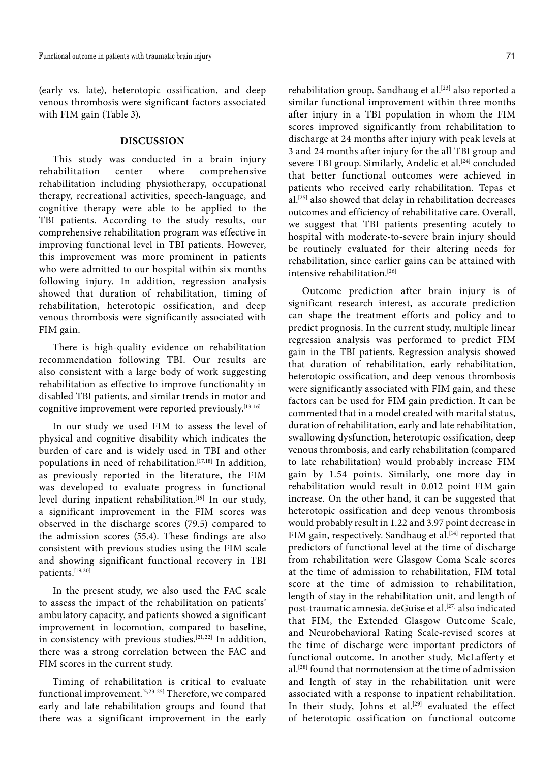(early vs. late), heterotopic ossification, and deep venous thrombosis were significant factors associated with FIM gain (Table 3).

# **DISCUSSION**

This study was conducted in a brain injury rehabilitation center where comprehensive rehabilitation including physiotherapy, occupational therapy, recreational activities, speech-language, and cognitive therapy were able to be applied to the TBI patients. According to the study results, our comprehensive rehabilitation program was effective in improving functional level in TBI patients. However, this improvement was more prominent in patients who were admitted to our hospital within six months following injury. In addition, regression analysis showed that duration of rehabilitation, timing of rehabilitation, heterotopic ossification, and deep venous thrombosis were significantly associated with FIM gain.

There is high-quality evidence on rehabilitation recommendation following TBI. Our results are also consistent with a large body of work suggesting rehabilitation as effective to improve functionality in disabled TBI patients, and similar trends in motor and cognitive improvement were reported previously.[13-16]

In our study we used FIM to assess the level of physical and cognitive disability which indicates the burden of care and is widely used in TBI and other populations in need of rehabilitation.<sup>[17,18]</sup> In addition, as previously reported in the literature, the FIM was developed to evaluate progress in functional level during inpatient rehabilitation.<sup>[19]</sup> In our study, a significant improvement in the FIM scores was observed in the discharge scores (79.5) compared to the admission scores (55.4). These findings are also consistent with previous studies using the FIM scale and showing significant functional recovery in TBI patients.[19,20]

In the present study, we also used the FAC scale to assess the impact of the rehabilitation on patients' ambulatory capacity, and patients showed a significant improvement in locomotion, compared to baseline, in consistency with previous studies.[21,22] In addition, there was a strong correlation between the FAC and FIM scores in the current study.

Timing of rehabilitation is critical to evaluate functional improvement.<sup>[5,23-25]</sup> Therefore, we compared early and late rehabilitation groups and found that there was a significant improvement in the early rehabilitation group. Sandhaug et al.<sup>[23]</sup> also reported a similar functional improvement within three months after injury in a TBI population in whom the FIM scores improved significantly from rehabilitation to discharge at 24 months after injury with peak levels at 3 and 24 months after injury for the all TBI group and severe TBI group. Similarly, Andelic et al.<sup>[24]</sup> concluded that better functional outcomes were achieved in patients who received early rehabilitation. Tepas et al.[25] also showed that delay in rehabilitation decreases outcomes and efficiency of rehabilitative care. Overall, we suggest that TBI patients presenting acutely to hospital with moderate-to-severe brain injury should be routinely evaluated for their altering needs for rehabilitation, since earlier gains can be attained with intensive rehabilitation.<sup>[26]</sup>

Outcome prediction after brain injury is of significant research interest, as accurate prediction can shape the treatment efforts and policy and to predict prognosis. In the current study, multiple linear regression analysis was performed to predict FIM gain in the TBI patients. Regression analysis showed that duration of rehabilitation, early rehabilitation, heterotopic ossification, and deep venous thrombosis were significantly associated with FIM gain, and these factors can be used for FIM gain prediction. It can be commented that in a model created with marital status, duration of rehabilitation, early and late rehabilitation, swallowing dysfunction, heterotopic ossification, deep venous thrombosis, and early rehabilitation (compared to late rehabilitation) would probably increase FIM gain by 1.54 points. Similarly, one more day in rehabilitation would result in 0.012 point FIM gain increase. On the other hand, it can be suggested that heterotopic ossification and deep venous thrombosis would probably result in 1.22 and 3.97 point decrease in FIM gain, respectively. Sandhaug et al.<sup>[14]</sup> reported that predictors of functional level at the time of discharge from rehabilitation were Glasgow Coma Scale scores at the time of admission to rehabilitation, FIM total score at the time of admission to rehabilitation, length of stay in the rehabilitation unit, and length of post-traumatic amnesia. deGuise et al.<sup>[27]</sup> also indicated that FIM, the Extended Glasgow Outcome Scale, and Neurobehavioral Rating Scale-revised scores at the time of discharge were important predictors of functional outcome. In another study, McLafferty et al.[28] found that normotension at the time of admission and length of stay in the rehabilitation unit were associated with a response to inpatient rehabilitation. In their study, Johns et al.<sup>[29]</sup> evaluated the effect of heterotopic ossification on functional outcome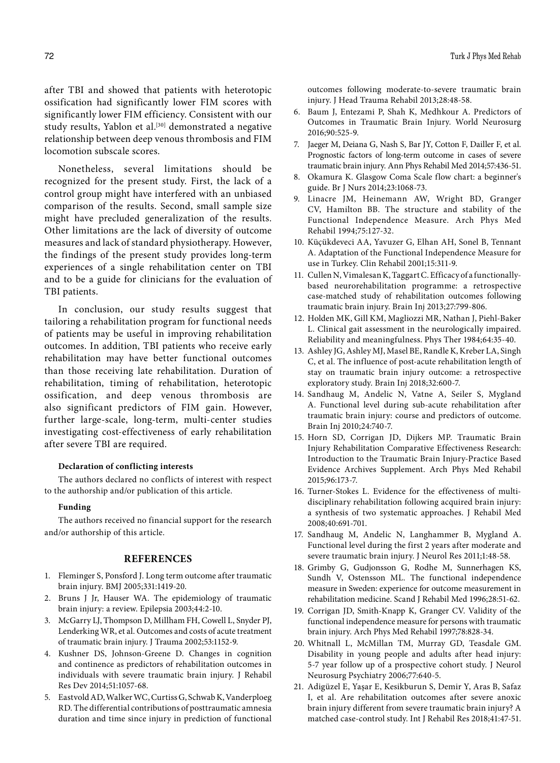after TBI and showed that patients with heterotopic ossification had significantly lower FIM scores with significantly lower FIM efficiency. Consistent with our study results, Yablon et al.<sup>[30]</sup> demonstrated a negative relationship between deep venous thrombosis and FIM locomotion subscale scores.

Nonetheless, several limitations should be recognized for the present study. First, the lack of a control group might have interfered with an unbiased comparison of the results. Second, small sample size might have precluded generalization of the results. Other limitations are the lack of diversity of outcome measures and lack of standard physiotherapy. However, the findings of the present study provides long-term experiences of a single rehabilitation center on TBI and to be a guide for clinicians for the evaluation of TBI patients.

In conclusion, our study results suggest that tailoring a rehabilitation program for functional needs of patients may be useful in improving rehabilitation outcomes. In addition, TBI patients who receive early rehabilitation may have better functional outcomes than those receiving late rehabilitation. Duration of rehabilitation, timing of rehabilitation, heterotopic ossification, and deep venous thrombosis are also significant predictors of FIM gain. However, further large-scale, long-term, multi-center studies investigating cost-effectiveness of early rehabilitation after severe TBI are required.

# **Declaration of conflicting interests**

The authors declared no conflicts of interest with respect to the authorship and/or publication of this article.

#### **Funding**

The authors received no financial support for the research and/or authorship of this article.

## **REFERENCES**

- 1. Fleminger S, Ponsford J. Long term outcome after traumatic brain injury. BMJ 2005;331:1419-20.
- 2. Bruns J Jr, Hauser WA. The epidemiology of traumatic brain injury: a review. Epilepsia 2003;44:2-10.
- 3. McGarry LJ, Thompson D, Millham FH, Cowell L, Snyder PJ, Lenderking WR, et al. Outcomes and costs of acute treatment of traumatic brain injury. J Trauma 2002;53:1152-9.
- 4. Kushner DS, Johnson-Greene D. Changes in cognition and continence as predictors of rehabilitation outcomes in individuals with severe traumatic brain injury. J Rehabil Res Dev 2014;51:1057-68.
- 5. Eastvold AD, Walker WC, Curtiss G, Schwab K, Vanderploeg RD. The differential contributions of posttraumatic amnesia duration and time since injury in prediction of functional

outcomes following moderate-to-severe traumatic brain injury. J Head Trauma Rehabil 2013;28:48-58.

- 6. Baum J, Entezami P, Shah K, Medhkour A. Predictors of Outcomes in Traumatic Brain Injury. World Neurosurg 2016;90:525-9.
- 7. Jaeger M, Deiana G, Nash S, Bar JY, Cotton F, Dailler F, et al. Prognostic factors of long-term outcome in cases of severe traumatic brain injury. Ann Phys Rehabil Med 2014;57:436-51.
- 8. Okamura K. Glasgow Coma Scale flow chart: a beginner's guide. Br J Nurs 2014;23:1068-73.
- 9. Linacre JM, Heinemann AW, Wright BD, Granger CV, Hamilton BB. The structure and stability of the Functional Independence Measure. Arch Phys Med Rehabil 1994;75:127-32.
- 10. Küçükdeveci AA, Yavuzer G, Elhan AH, Sonel B, Tennant A. Adaptation of the Functional Independence Measure for use in Turkey. Clin Rehabil 2001;15:311-9.
- 11. Cullen N, Vimalesan K, Taggart C. Efficacy of a functionallybased neurorehabilitation programme: a retrospective case-matched study of rehabilitation outcomes following traumatic brain injury. Brain Inj 2013;27:799-806.
- 12. Holden MK, Gill KM, Magliozzi MR, Nathan J, Piehl-Baker L. Clinical gait assessment in the neurologically impaired. Reliability and meaningfulness. Phys Ther 1984;64:35-40.
- 13. Ashley JG, Ashley MJ, Masel BE, Randle K, Kreber LA, Singh C, et al. The influence of post-acute rehabilitation length of stay on traumatic brain injury outcome: a retrospective exploratory study. Brain Inj 2018;32:600-7.
- 14. Sandhaug M, Andelic N, Vatne A, Seiler S, Mygland A. Functional level during sub-acute rehabilitation after traumatic brain injury: course and predictors of outcome. Brain Inj 2010;24:740-7.
- 15. Horn SD, Corrigan JD, Dijkers MP. Traumatic Brain Injury Rehabilitation Comparative Effectiveness Research: Introduction to the Traumatic Brain Injury-Practice Based Evidence Archives Supplement. Arch Phys Med Rehabil 2015;96:173-7.
- 16. Turner-Stokes L. Evidence for the effectiveness of multidisciplinary rehabilitation following acquired brain injury: a synthesis of two systematic approaches. J Rehabil Med 2008;40:691-701.
- 17. Sandhaug M, Andelic N, Langhammer B, Mygland A. Functional level during the first 2 years after moderate and severe traumatic brain injury. J Neurol Res 2011;1:48-58.
- 18. Grimby G, Gudjonsson G, Rodhe M, Sunnerhagen KS, Sundh V, Ostensson ML. The functional independence measure in Sweden: experience for outcome measurement in rehabilitation medicine. Scand J Rehabil Med 1996;28:51-62.
- 19. Corrigan JD, Smith-Knapp K, Granger CV. Validity of the functional independence measure for persons with traumatic brain injury. Arch Phys Med Rehabil 1997;78:828-34.
- 20. Whitnall L, McMillan TM, Murray GD, Teasdale GM. Disability in young people and adults after head injury: 5-7 year follow up of a prospective cohort study. J Neurol Neurosurg Psychiatry 2006;77:640-5.
- 21. Adigüzel E, Yaşar E, Kesikburun S, Demir Y, Aras B, Safaz I, et al. Are rehabilitation outcomes after severe anoxic brain injury different from severe traumatic brain injury? A matched case-control study. Int J Rehabil Res 2018;41:47-51.